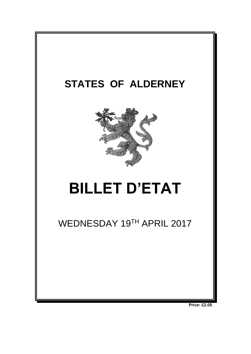

**Price: £2.05**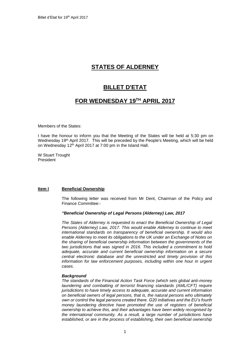# **STATES OF ALDERNEY**

## **BILLET D'ETAT**

## **FOR WEDNESDAY 19 TH APRIL 2017**

Members of the States:

I have the honour to inform you that the Meeting of the States will be held at 5:30 pm on Wednesday 19<sup>th</sup> April 2017. This will be preceded by the People's Meeting, which will be held on Wednesday 12th April 2017 at 7:00 pm in the Island Hall.

W Stuart Trought President

## **Item l Beneficial Ownership**

The following letter was received from Mr Dent, Chairman of the Policy and Finance Committee:-

## *"Beneficial Ownership of Legal Persons (Alderney) Law, 2017*

*The States of Alderney is requested to enact the Beneficial Ownership of Legal Persons (Alderney) Law, 2017. This would enable Alderney to continue to meet international standards on transparency of beneficial ownership. It would also enable Alderney to meet its obligations to the UK under an Exchange of Notes on the sharing of beneficial ownership information between the governments of the two jurisdictions that was signed in 2016. This included a commitment to hold adequate, accurate and current beneficial ownership information on a secure central electronic database and the unrestricted and timely provision of this information for law enforcement purposes, including within one hour in urgent cases.* 

#### *Background*

*The standards of the Financial Action Task Force (which sets global anti-money laundering and combatting of terrorist financing standards (AML/CFT) require jurisdictions to have timely access to adequate, accurate and current information on beneficial owners of legal persons, that is, the natural persons who ultimately own or control the legal persons created there. G20 initiatives and the EU's fourth money laundering directive have promoted the use of registers of beneficial ownership to achieve this, and their advantages have been widely recognised by the international community. As a result, a large number of jurisdictions have established, or are in the process of establishing, their own beneficial ownership*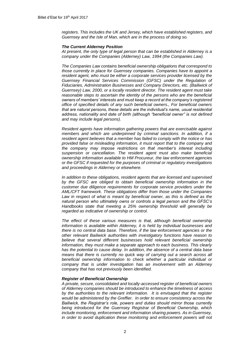*registers. This includes the UK and Jersey, which have established registers, and Guernsey and the Isle of Man, which are in the process of doing so.* 

#### *The Current Alderney Position*

*At present, the only type of legal person that can be established in Alderney is a company under the Companies (Alderney) Law, 1994 (the Companies Law).* 

*The Companies Law contains beneficial ownership obligations that correspond to those currently in place for Guernsey companies. Companies have to appoint a resident agent, who must be either a corporate services provider licensed by the Guernsey Financial Services Commission (GFSC) under the Regulation of Fiduciaries, Administration Businesses and Company Directors, etc. (Bailiwick of Guernsey) Law, 2000, or a locally resident director. The resident agent must take reasonable steps to ascertain the identity of the persons who are the beneficial owners of members' interests and must keep a record at the company's registered office of specified details of any such beneficial owners., For beneficial owners that are natural persons, these details are the individual's name, usual residential address, nationality and date of birth (although "beneficial owner" is not defined and may include legal persons).* 

*Resident agents have information gathering powers that are exercisable against members and which are underpinned by criminal sanctions. In addition, if a resident agent believes that a member has failed to comply with the notice or has provided false or misleading information, it must report that to the company and the company may impose restrictions on that member's interest including suspension or cancellation. The resident agent must also make beneficial ownership information available to HM Procureur, the law enforcement agencies or the GFSC if requested for the purposes of criminal or regulatory investigations and proceedings in Alderney or elsewhere.* 

*In addition to these obligations, resident agents that are licensed and supervised by the GFSC are obliged to obtain beneficial ownership information in the customer due diligence requirements for corporate service providers under the AML/CFT framework. These obligations differ from those under the Companies*  Law in respect of what is meant by beneficial owner, as this is defined as the *natural person who ultimately owns or controls a legal person and the GFSC's Handbooks state that meeting a 25% ownership threshold will generally be regarded as indicative of ownership or control.*

*The effect of these various measures is that, although beneficial ownership information is available within Alderney, it is held by individual businesses and there is no central data base. Therefore, if the law enforcement agencies or the other relevant Bailiwick authorities with investigatory functions have reason to believe that several different businesses hold relevant beneficial ownership information, they must make a separate approach to each business. This clearly has the potential to cause delay. In addition, the absence of a central data base means that there is currently no quick way of carrying out a search across all beneficial ownership information to check whether a particular individual or company that is under investigation has an involvement with an Alderney company that has not previously been identified.* 

## *Register of Beneficial Ownership*

*A private, secure, consolidated and locally-accessed register of beneficial owners of Alderney companies should be introduced to enhance the timeliness of access by the authorities to the relevant information. It is envisaged that the register would be administered by the Greffier. In order to ensure consistency across the Bailiwick, the Registrar's role, powers and duties should mirror those currently being introduced for the Guernsey Registrar of Beneficial Ownership, which include monitoring, enforcement and information sharing powers. As in Guernsey, in order to avoid duplication these monitoring and enforcement powers will not*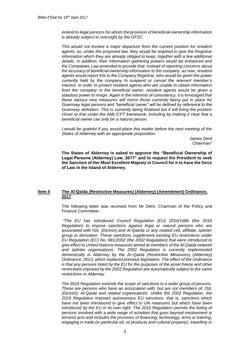*extend to legal persons for whom the provision of beneficial ownership information is already subject to oversight by the GFSC.* 

*This would not involve a major departure from the current position for resident agents, as, under the proposed law, they would be required to give the Registrar information which they are already obliged to keep, together with a few additional details. In addition, their information gathering powers would be enhanced and the Companies Law amended to provide that, instead of reporting concerns about the accuracy of beneficial ownership information to the company, as now, resident agents would report this to the Company Registrar, who would be given the power currently held by the company to suspend or cancel the relevant member's interest. In order to protect resident agents who are unable to obtain information*  from the company or the beneficial owner, resident agents would be given a *statutory power to resign. Again in the interests of consistency, it is envisaged that these various new measures will mirror those currently being put in place for Guernsey legal persons and "beneficial owner" will be defined by reference to the Guernsey definition. This is currently being finalised but it will bring the position closer to that under the AML/CFT framework, including by making it clear that a beneficial owner can only be a natural person.* 

*I would be grateful if you would place this matter before the next meeting of the States of Alderney with an appropriate proposition.*

> *James Dent Chairman"*

**The States of Alderney is asked to approve the "Beneficial Ownership of Legal Persons (Alderney) Law, 2017" and to request the President to seek the Sanction of Her Most Excellent Majesty in Council for it to have the force of Law in the Island of Alderney.**

## **Item II The Al-Qaida (Restrictive Measures) (Alderney) (Amendment) Ordinance, 2017**

The following letter was received from Mr Dent, Chairman of the Policy and Finance Committee:-

*"The EU has introduced Council Regulation (EU) 2016/1686 (the 2016 Regulation) to impose sanctions against legal or natural persons who are associated with ISIL (Da'esh) and Al-Qaeda or any related cell, affiliate, splinter group or derivative. These sanctions supplement existing EU restrictions under EU Regulation (EC) No. 881/2002 (the 2002 Regulation) that were introduced to give effect to United Nations measures aimed at members of the Al-Qaida network and splinter organisations. The 2002 Regulation is currently implemented domestically in Alderney by the Al–Qaida (Restrictive Measures) (Alderney) Ordinance, 2013, which replaced previous legislation. The effect of the Ordinance*  is that any persons listed by the EU for the purposes of the asset freeze and other *restrictions imposed by the 2002 Regulation are automatically subject to the same restrictions in Alderney.* 

*The 2016 Regulation extends the scope of sanctions to a wider group of persons. These are persons who have an association with, but are not members of, ISIL (Da'esh), Al-Qaida and related organisations. Unlike the 2002 Regulation, the 2016 Regulation imposes autonomous EU sanctions, that is, sanctions which have not been introduced to give effect to UN measures but which have been introduced by the EU in its own right. The 2016 Regulation permits the listing of persons involved with a wide range of activities that goes beyond involvement in terrorist acts and includes the provision of financing, technology, arms or training, engaging in trade (in particular oil, oil products and cultural property), travelling or*